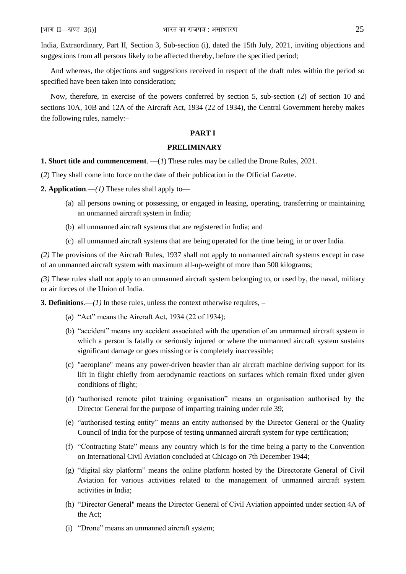India, Extraordinary, Part II, Section 3, Sub-section (i), dated the 15th July, 2021, inviting objections and suggestions from all persons likely to be affected thereby, before the specified period;

And whereas, the objections and suggestions received in respect of the draft rules within the period so specified have been taken into consideration;

Now, therefore, in exercise of the powers conferred by section 5, sub-section (2) of section 10 and sections 10A, 10B and 12A of the Aircraft Act, 1934 (22 of 1934), the Central Government hereby makes the following rules, namely:–

### **PART I**

#### **PRELIMINARY**

**1. Short title and commencement**. —(*1*) These rules may be called the Drone Rules, 2021.

(*2*) They shall come into force on the date of their publication in the Official Gazette.

**2. Application.**—*(1)* These rules shall apply to—

- (a) all persons owning or possessing, or engaged in leasing, operating, transferring or maintaining an unmanned aircraft system in India;
- (b) all unmanned aircraft systems that are registered in India; and
- (c) all unmanned aircraft systems that are being operated for the time being, in or over India.

*(2)* The provisions of the Aircraft Rules, 1937 shall not apply to unmanned aircraft systems except in case of an unmanned aircraft system with maximum all-up-weight of more than 500 kilograms;

*(3)* These rules shall not apply to an unmanned aircraft system belonging to, or used by, the naval, military or air forces of the Union of India.

**3. Definitions**.—*(1)* In these rules, unless the context otherwise requires, –

- (a) "Act" means the Aircraft Act, 1934 (22 of 1934);
- (b) "accident" means any accident associated with the operation of an unmanned aircraft system in which a person is fatally or seriously injured or where the unmanned aircraft system sustains significant damage or goes missing or is completely inaccessible;
- (c) "aeroplane" means any power-driven heavier than air aircraft machine deriving support for its lift in flight chiefly from aerodynamic reactions on surfaces which remain fixed under given conditions of flight;
- (d) "authorised remote pilot training organisation" means an organisation authorised by the Director General for the purpose of imparting training under rule 39;
- (e) "authorised testing entity" means an entity authorised by the Director General or the Quality Council of India for the purpose of testing unmanned aircraft system for type certification;
- (f) "Contracting State" means any country which is for the time being a party to the Convention on International Civil Aviation concluded at Chicago on 7th December 1944;
- (g) "digital sky platform" means the online platform hosted by the Directorate General of Civil Aviation for various activities related to the management of unmanned aircraft system activities in India;
- (h) "Director General" means the Director General of Civil Aviation appointed under section 4A of the Act;
- (i) "Drone" means an unmanned aircraft system;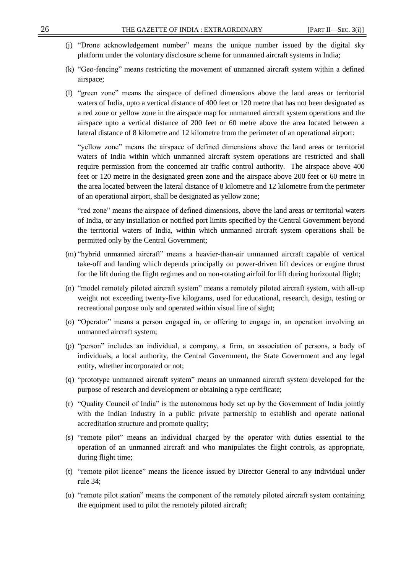- (j) "Drone acknowledgement number" means the unique number issued by the digital sky platform under the voluntary disclosure scheme for unmanned aircraft systems in India;
- (k) "Geo-fencing" means restricting the movement of unmanned aircraft system within a defined airspace;
- (l) "green zone" means the airspace of defined dimensions above the land areas or territorial waters of India, upto a vertical distance of 400 feet or 120 metre that has not been designated as a red zone or yellow zone in the airspace map for unmanned aircraft system operations and the airspace upto a vertical distance of 200 feet or 60 metre above the area located between a lateral distance of 8 kilometre and 12 kilometre from the perimeter of an operational airport:

"yellow zone" means the airspace of defined dimensions above the land areas or territorial waters of India within which unmanned aircraft system operations are restricted and shall require permission from the concerned air traffic control authority. The airspace above 400 feet or 120 metre in the designated green zone and the airspace above 200 feet or 60 metre in the area located between the lateral distance of 8 kilometre and 12 kilometre from the perimeter of an operational airport, shall be designated as yellow zone;

"red zone" means the airspace of defined dimensions, above the land areas or territorial waters of India, or any installation or notified port limits specified by the Central Government beyond the territorial waters of India, within which unmanned aircraft system operations shall be permitted only by the Central Government;

- (m) "hybrid unmanned aircraft" means a heavier-than-air unmanned aircraft capable of vertical take-off and landing which depends principally on power-driven lift devices or engine thrust for the lift during the flight regimes and on non-rotating airfoil for lift during horizontal flight;
- (n) "model remotely piloted aircraft system" means a remotely piloted aircraft system, with all-up weight not exceeding twenty-five kilograms, used for educational, research, design, testing or recreational purpose only and operated within visual line of sight;
- (o) "Operator" means a person engaged in, or offering to engage in, an operation involving an unmanned aircraft system;
- (p) "person" includes an individual, a company, a firm, an association of persons, a body of individuals, a local authority, the Central Government, the State Government and any legal entity, whether incorporated or not;
- (q) "prototype unmanned aircraft system" means an unmanned aircraft system developed for the purpose of research and development or obtaining a type certificate;
- (r) "Quality Council of India" is the autonomous body set up by the Government of India jointly with the Indian Industry in a public private partnership to establish and operate national accreditation structure and promote quality;
- (s) "remote pilot" means an individual charged by the operator with duties essential to the operation of an unmanned aircraft and who manipulates the flight controls, as appropriate, during flight time;
- (t) "remote pilot licence" means the licence issued by Director General to any individual under rule 34;
- (u) "remote pilot station" means the component of the remotely piloted aircraft system containing the equipment used to pilot the remotely piloted aircraft;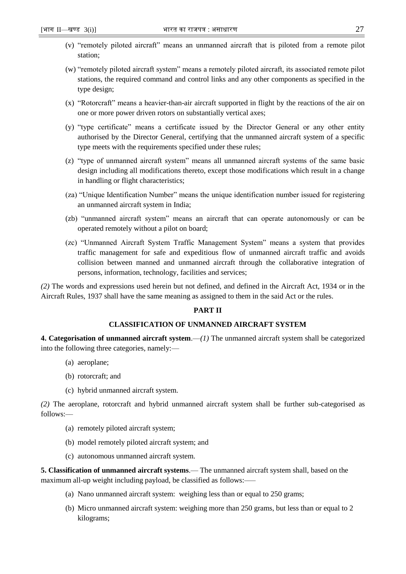- (v) "remotely piloted aircraft" means an unmanned aircraft that is piloted from a remote pilot station;
- (w) "remotely piloted aircraft system" means a remotely piloted aircraft, its associated remote pilot stations, the required command and control links and any other components as specified in the type design;
- (x) "Rotorcraft" means a heavier-than-air aircraft supported in flight by the reactions of the air on one or more power driven rotors on substantially vertical axes;
- (y) "type certificate" means a certificate issued by the Director General or any other entity authorised by the Director General, certifying that the unmanned aircraft system of a specific type meets with the requirements specified under these rules;
- (z) "type of unmanned aircraft system" means all unmanned aircraft systems of the same basic design including all modifications thereto, except those modifications which result in a change in handling or flight characteristics;
- (za) "Unique Identification Number" means the unique identification number issued for registering an unmanned aircraft system in India;
- (zb) "unmanned aircraft system" means an aircraft that can operate autonomously or can be operated remotely without a pilot on board;
- (zc) "Unmanned Aircraft System Traffic Management System" means a system that provides traffic management for safe and expeditious flow of unmanned aircraft traffic and avoids collision between manned and unmanned aircraft through the collaborative integration of persons, information, technology, facilities and services;

*(2)* The words and expressions used herein but not defined, and defined in the Aircraft Act, 1934 or in the Aircraft Rules, 1937 shall have the same meaning as assigned to them in the said Act or the rules.

## **PART II**

## **CLASSIFICATION OF UNMANNED AIRCRAFT SYSTEM**

**4. Categorisation of unmanned aircraft system**.—*(1)* The unmanned aircraft system shall be categorized into the following three categories, namely:––

- (a) aeroplane;
- (b) rotorcraft; and
- (c) hybrid unmanned aircraft system.

*(2)* The aeroplane, rotorcraft and hybrid unmanned aircraft system shall be further sub-categorised as follows:––

- (a) remotely piloted aircraft system;
- (b) model remotely piloted aircraft system; and
- (c) autonomous unmanned aircraft system.

**5. Classification of unmanned aircraft systems**.— The unmanned aircraft system shall, based on the maximum all-up weight including payload, be classified as follows:-

- (a) Nano unmanned aircraft system: weighing less than or equal to 250 grams;
- (b) Micro unmanned aircraft system: weighing more than 250 grams, but less than or equal to 2 kilograms;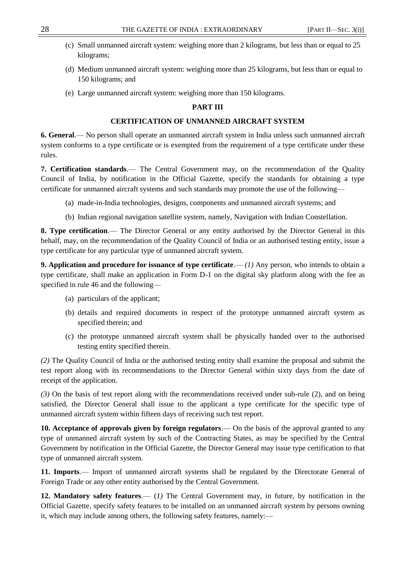- 
- (c) Small unmanned aircraft system: weighing more than 2 kilograms, but less than or equal to 25 kilograms;
- (d) Medium unmanned aircraft system: weighing more than 25 kilograms, but less than or equal to 150 kilograms; and
- (e) Large unmanned aircraft system: weighing more than 150 kilograms.

## **PART III**

## **CERTIFICATION OF UNMANNED AIRCRAFT SYSTEM**

**6. General**.— No person shall operate an unmanned aircraft system in India unless such unmanned aircraft system conforms to a type certificate or is exempted from the requirement of a type certificate under these rules.

**7. Certification standards**.–– The Central Government may, on the recommendation of the Quality Council of India, by notification in the Official Gazette, specify the standards for obtaining a type certificate for unmanned aircraft systems and such standards may promote the use of the following—

- (a) made-in-India technologies, designs, components and unmanned aircraft systems; and
- (b) Indian regional navigation satellite system, namely, Navigation with Indian Constellation.

**8. Type certification**.–– The Director General or any entity authorised by the Director General in this behalf, may, on the recommendation of the Quality Council of India or an authorised testing entity, issue a type certificate for any particular type of unmanned aircraft system.

**9. Application and procedure for issuance of type certificate.—** $(l)$  **Any person, who intends to obtain a** type certificate, shall make an application in Form D-1 on the digital sky platform along with the fee as specified in rule 46 and the following––

- (a) particulars of the applicant;
- (b) details and required documents in respect of the prototype unmanned aircraft system as specified therein; and
- (c) the prototype unmanned aircraft system shall be physically handed over to the authorised testing entity specified therein.

*(2)* The Quality Council of India or the authorised testing entity shall examine the proposal and submit the test report along with its recommendations to the Director General within sixty days from the date of receipt of the application.

*(3)* On the basis of test report along with the recommendations received under sub-rule (2), and on being satisfied, the Director General shall issue to the applicant a type certificate for the specific type of unmanned aircraft system within fifteen days of receiving such test report.

**10. Acceptance of approvals given by foreign regulators**.–– On the basis of the approval granted to any type of unmanned aircraft system by such of the Contracting States, as may be specified by the Central Government by notification in the Official Gazette, the Director General may issue type certification to that type of unmanned aircraft system.

**11. Imports**.–– Import of unmanned aircraft systems shall be regulated by the Directorate General of Foreign Trade or any other entity authorised by the Central Government.

**12. Mandatory safety features**.–– (*1)* The Central Government may, in future, by notification in the Official Gazette, specify safety features to be installed on an unmanned aircraft system by persons owning it, which may include among others, the following safety features, namely:—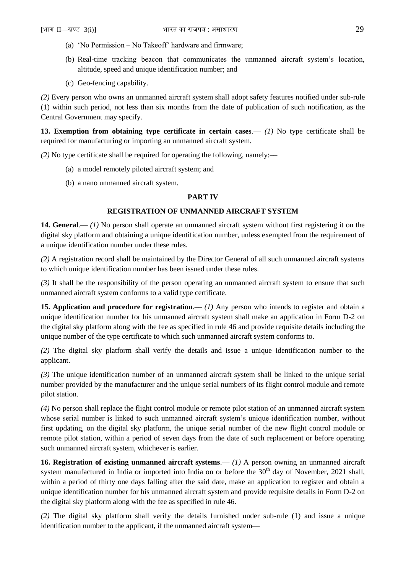- (a) 'No Permission No Takeoff' hardware and firmware;
- (b) Real-time tracking beacon that communicates the unmanned aircraft system's location, altitude, speed and unique identification number; and
- (c) Geo-fencing capability.

*(2)* Every person who owns an unmanned aircraft system shall adopt safety features notified under sub-rule (1) within such period, not less than six months from the date of publication of such notification, as the Central Government may specify.

**13. Exemption from obtaining type certificate in certain cases**.— *(1)* No type certificate shall be required for manufacturing or importing an unmanned aircraft system.

*(2)* No type certificate shall be required for operating the following, namely:––

- (a) a model remotely piloted aircraft system; and
- (b) a nano unmanned aircraft system.

## **PART IV**

## **REGISTRATION OF UNMANNED AIRCRAFT SYSTEM**

**14. General.**—— (1) No person shall operate an unmanned aircraft system without first registering it on the digital sky platform and obtaining a unique identification number, unless exempted from the requirement of a unique identification number under these rules.

*(2)* A registration record shall be maintained by the Director General of all such unmanned aircraft systems to which unique identification number has been issued under these rules.

*(3)* It shall be the responsibility of the person operating an unmanned aircraft system to ensure that such unmanned aircraft system conforms to a valid type certificate.

**15. Application and procedure for registration.—— (1) Any person who intends to register and obtain a** unique identification number for his unmanned aircraft system shall make an application in Form D-2 on the digital sky platform along with the fee as specified in rule 46 and provide requisite details including the unique number of the type certificate to which such unmanned aircraft system conforms to.

*(2)* The digital sky platform shall verify the details and issue a unique identification number to the applicant.

*(3)* The unique identification number of an unmanned aircraft system shall be linked to the unique serial number provided by the manufacturer and the unique serial numbers of its flight control module and remote pilot station.

*(4)* No person shall replace the flight control module or remote pilot station of an unmanned aircraft system whose serial number is linked to such unmanned aircraft system's unique identification number, without first updating, on the digital sky platform, the unique serial number of the new flight control module or remote pilot station, within a period of seven days from the date of such replacement or before operating such unmanned aircraft system, whichever is earlier.

**16. Registration of existing unmanned aircraft systems.—(1) A person owning an unmanned aircraft** system manufactured in India or imported into India on or before the  $30<sup>th</sup>$  day of November, 2021 shall, within a period of thirty one days falling after the said date, make an application to register and obtain a unique identification number for his unmanned aircraft system and provide requisite details in Form D-2 on the digital sky platform along with the fee as specified in rule 46.

*(2)* The digital sky platform shall verify the details furnished under sub-rule (1) and issue a unique identification number to the applicant, if the unmanned aircraft system––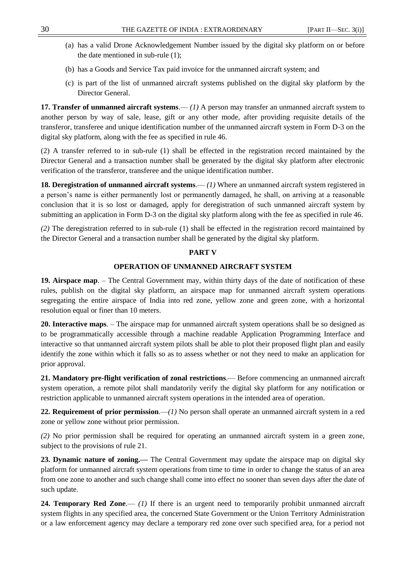- (a) has a valid Drone Acknowledgement Number issued by the digital sky platform on or before the date mentioned in sub-rule (1);
- (b) has a Goods and Service Tax paid invoice for the unmanned aircraft system; and
- (c) is part of the list of unmanned aircraft systems published on the digital sky platform by the Director General.

**17. Transfer of unmanned aircraft systems.—(1) A person may transfer an unmanned aircraft system to** another person by way of sale, lease, gift or any other mode, after providing requisite details of the transferor, transferee and unique identification number of the unmanned aircraft system in Form D-3 on the digital sky platform, along with the fee as specified in rule 46.

(2) A transfer referred to in sub-rule (1) shall be effected in the registration record maintained by the Director General and a transaction number shall be generated by the digital sky platform after electronic verification of the transferor, transferee and the unique identification number.

**18. Deregistration of unmanned aircraft systems.—***(1)* **Where an unmanned aircraft system registered in** a person's name is either permanently lost or permanently damaged, he shall, on arriving at a reasonable conclusion that it is so lost or damaged, apply for deregistration of such unmanned aircraft system by submitting an application in Form D-3 on the digital sky platform along with the fee as specified in rule 46.

*(2)* The deregistration referred to in sub-rule (1) shall be effected in the registration record maintained by the Director General and a transaction number shall be generated by the digital sky platform.

## **PART V**

## **OPERATION OF UNMANNED AIRCRAFT SYSTEM**

**19. Airspace map**. – The Central Government may, within thirty days of the date of notification of these rules, publish on the digital sky platform, an airspace map for unmanned aircraft system operations segregating the entire airspace of India into red zone, yellow zone and green zone, with a horizontal resolution equal or finer than 10 meters.

**20. Interactive maps**. – The airspace map for unmanned aircraft system operations shall be so designed as to be programmatically accessible through a machine readable Application Programming Interface and interactive so that unmanned aircraft system pilots shall be able to plot their proposed flight plan and easily identify the zone within which it falls so as to assess whether or not they need to make an application for prior approval.

**21. Mandatory pre-flight verification of zonal restrictions**.–– Before commencing an unmanned aircraft system operation, a remote pilot shall mandatorily verify the digital sky platform for any notification or restriction applicable to unmanned aircraft system operations in the intended area of operation.

**22. Requirement of prior permission.**—*(1)* No person shall operate an unmanned aircraft system in a red zone or yellow zone without prior permission.

*(2)* No prior permission shall be required for operating an unmanned aircraft system in a green zone, subject to the provisions of rule 21.

**23. Dynamic nature of zoning.––** The Central Government may update the airspace map on digital sky platform for unmanned aircraft system operations from time to time in order to change the status of an area from one zone to another and such change shall come into effect no sooner than seven days after the date of such update.

**24. Temporary Red Zone.—– (1)** If there is an urgent need to temporarily prohibit unmanned aircraft system flights in any specified area, the concerned State Government or the Union Territory Administration or a law enforcement agency may declare a temporary red zone over such specified area, for a period not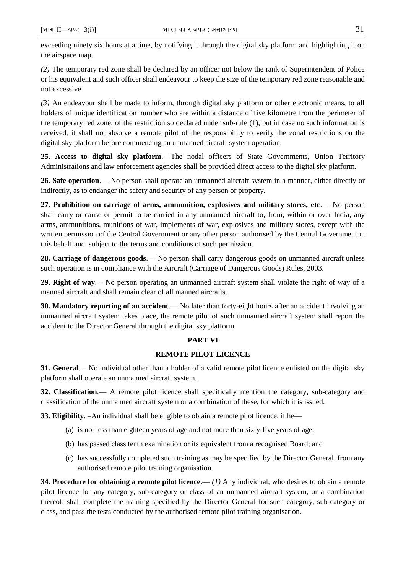exceeding ninety six hours at a time, by notifying it through the digital sky platform and highlighting it on the airspace map.

*(2)* The temporary red zone shall be declared by an officer not below the rank of Superintendent of Police or his equivalent and such officer shall endeavour to keep the size of the temporary red zone reasonable and not excessive.

*(3)* An endeavour shall be made to inform, through digital sky platform or other electronic means, to all holders of unique identification number who are within a distance of five kilometre from the perimeter of the temporary red zone, of the restriction so declared under sub-rule (1), but in case no such information is received, it shall not absolve a remote pilot of the responsibility to verify the zonal restrictions on the digital sky platform before commencing an unmanned aircraft system operation.

**25. Access to digital sky platform**.—The nodal officers of State Governments, Union Territory Administrations and law enforcement agencies shall be provided direct access to the digital sky platform.

**26. Safe operation**.–– No person shall operate an unmanned aircraft system in a manner, either directly or indirectly, as to endanger the safety and security of any person or property.

**27. Prohibition on carriage of arms, ammunition, explosives and military stores, etc.— No person** shall carry or cause or permit to be carried in any unmanned aircraft to, from, within or over India, any arms, ammunitions, munitions of war, implements of war, explosives and military stores, except with the written permission of the Central Government or any other person authorised by the Central Government in this behalf and subject to the terms and conditions of such permission.

**28. Carriage of dangerous goods**.— No person shall carry dangerous goods on unmanned aircraft unless such operation is in compliance with the Aircraft (Carriage of Dangerous Goods) Rules, 2003.

**29. Right of way**. – No person operating an unmanned aircraft system shall violate the right of way of a manned aircraft and shall remain clear of all manned aircrafts.

**30. Mandatory reporting of an accident**.— No later than forty-eight hours after an accident involving an unmanned aircraft system takes place, the remote pilot of such unmanned aircraft system shall report the accident to the Director General through the digital sky platform.

## **PART VI**

## **REMOTE PILOT LICENCE**

**31. General**. – No individual other than a holder of a valid remote pilot licence enlisted on the digital sky platform shall operate an unmanned aircraft system.

**32. Classification**.–– A remote pilot licence shall specifically mention the category, sub-category and classification of the unmanned aircraft system or a combination of these, for which it is issued.

**33. Eligibility**. –An individual shall be eligible to obtain a remote pilot licence, if he–

- (a) is not less than eighteen years of age and not more than sixty-five years of age;
- (b) has passed class tenth examination or its equivalent from a recognised Board; and
- (c) has successfully completed such training as may be specified by the Director General, from any authorised remote pilot training organisation.

**34. Procedure for obtaining a remote pilot licence.**—(1) Any individual, who desires to obtain a remote pilot licence for any category, sub-category or class of an unmanned aircraft system, or a combination thereof, shall complete the training specified by the Director General for such category, sub-category or class, and pass the tests conducted by the authorised remote pilot training organisation.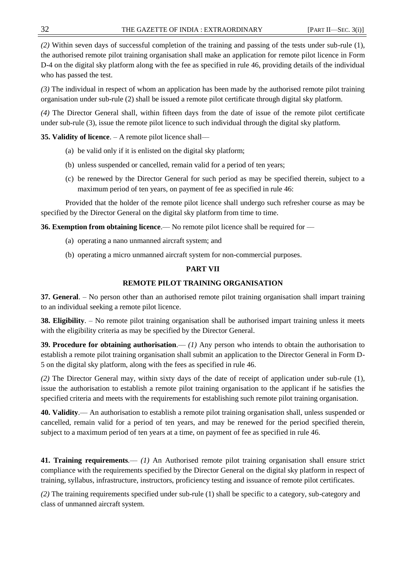*(2)* Within seven days of successful completion of the training and passing of the tests under sub-rule (1), the authorised remote pilot training organisation shall make an application for remote pilot licence in Form D-4 on the digital sky platform along with the fee as specified in rule 46, providing details of the individual who has passed the test.

*(3)* The individual in respect of whom an application has been made by the authorised remote pilot training organisation under sub-rule (2) shall be issued a remote pilot certificate through digital sky platform.

*(4)* The Director General shall, within fifteen days from the date of issue of the remote pilot certificate under sub-rule (3), issue the remote pilot licence to such individual through the digital sky platform.

**35. Validity of licence**. – A remote pilot licence shall––

- (a) be valid only if it is enlisted on the digital sky platform;
- (b) unless suspended or cancelled, remain valid for a period of ten years;
- (c) be renewed by the Director General for such period as may be specified therein, subject to a maximum period of ten years, on payment of fee as specified in rule 46:

Provided that the holder of the remote pilot licence shall undergo such refresher course as may be specified by the Director General on the digital sky platform from time to time.

**36. Exemption from obtaining licence**.— No remote pilot licence shall be required for —

- (a) operating a nano unmanned aircraft system; and
- (b) operating a micro unmanned aircraft system for non-commercial purposes.

## **PART VII**

# **REMOTE PILOT TRAINING ORGANISATION**

**37. General**. – No person other than an authorised remote pilot training organisation shall impart training to an individual seeking a remote pilot licence.

**38. Eligibility**. – No remote pilot training organisation shall be authorised impart training unless it meets with the eligibility criteria as may be specified by the Director General.

**39. Procedure for obtaining authorisation.—***(1)* **Any person who intends to obtain the authorisation to** establish a remote pilot training organisation shall submit an application to the Director General in Form D-5 on the digital sky platform, along with the fees as specified in rule 46.

*(2)* The Director General may, within sixty days of the date of receipt of application under sub-rule (1), issue the authorisation to establish a remote pilot training organisation to the applicant if he satisfies the specified criteria and meets with the requirements for establishing such remote pilot training organisation.

**40. Validity**.–– An authorisation to establish a remote pilot training organisation shall, unless suspended or cancelled, remain valid for a period of ten years, and may be renewed for the period specified therein, subject to a maximum period of ten years at a time, on payment of fee as specified in rule 46.

**41. Training requirements***.–– (1)* An Authorised remote pilot training organisation shall ensure strict compliance with the requirements specified by the Director General on the digital sky platform in respect of training, syllabus, infrastructure, instructors, proficiency testing and issuance of remote pilot certificates.

*(2)* The training requirements specified under sub-rule (1) shall be specific to a category, sub-category and class of unmanned aircraft system.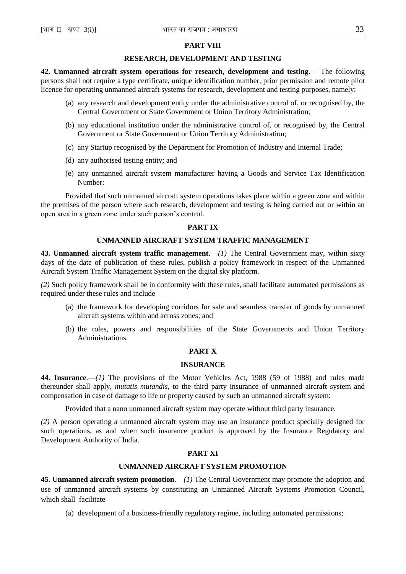#### **PART VIII**

#### **RESEARCH, DEVELOPMENT AND TESTING**

**42. Unmanned aircraft system operations for research, development and testing**. – The following persons shall not require a type certificate, unique identification number, prior permission and remote pilot licence for operating unmanned aircraft systems for research, development and testing purposes, namely:––

- (a) any research and development entity under the administrative control of, or recognised by, the Central Government or State Government or Union Territory Administration;
- (b) any educational institution under the administrative control of, or recognised by, the Central Government or State Government or Union Territory Administration;
- (c) any Startup recognised by the Department for Promotion of Industry and Internal Trade;
- (d) any authorised testing entity; and
- (e) any unmanned aircraft system manufacturer having a Goods and Service Tax Identification Number:

Provided that such unmanned aircraft system operations takes place within a green zone and within the premises of the person where such research, development and testing is being carried out or within an open area in a green zone under such person's control.

#### **PART IX**

## **UNMANNED AIRCRAFT SYSTEM TRAFFIC MANAGEMENT**

**43. Unmanned aircraft system traffic management.—***(1)* **The Central Government may, within sixty** days of the date of publication of these rules, publish a policy framework in respect of the Unmanned Aircraft System Traffic Management System on the digital sky platform.

*(2)* Such policy framework shall be in conformity with these rules, shall facilitate automated permissions as required under these rules and include––

- (a) the framework for developing corridors for safe and seamless transfer of goods by unmanned aircraft systems within and across zones; and
- (b) the roles, powers and responsibilities of the State Governments and Union Territory Administrations.

#### **PART X**

#### **INSURANCE**

**44. Insurance**.—*(1)* The provisions of the Motor Vehicles Act, 1988 (59 of 1988) and rules made thereunder shall apply, *mutatis mutandis*, to the third party insurance of unmanned aircraft system and compensation in case of damage to life or property caused by such an unmanned aircraft system:

Provided that a nano unmanned aircraft system may operate without third party insurance.

*(2)* A person operating a unmanned aircraft system may use an insurance product specially designed for such operations, as and when such insurance product is approved by the Insurance Regulatory and Development Authority of India.

## **PART XI**

## **UNMANNED AIRCRAFT SYSTEM PROMOTION**

**45. Unmanned aircraft system promotion**.—*(1)* The Central Government may promote the adoption and use of unmanned aircraft systems by constituting an Unmanned Aircraft Systems Promotion Council, which shall facilitate–

(a) development of a business-friendly regulatory regime, including automated permissions;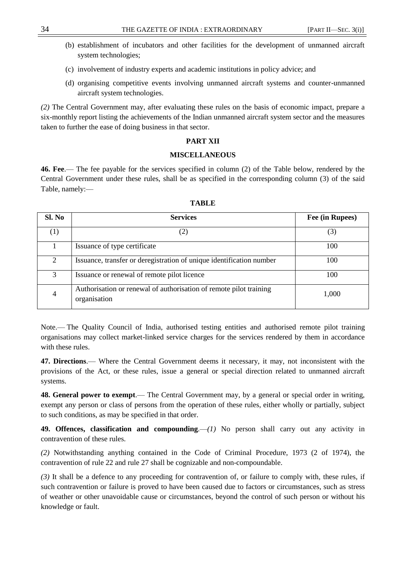- (b) establishment of incubators and other facilities for the development of unmanned aircraft system technologies;
- (c) involvement of industry experts and academic institutions in policy advice; and
- (d) organising competitive events involving unmanned aircraft systems and counter-unmanned aircraft system technologies.

*(2)* The Central Government may, after evaluating these rules on the basis of economic impact, prepare a six-monthly report listing the achievements of the Indian unmanned aircraft system sector and the measures taken to further the ease of doing business in that sector.

#### **PART XII**

## **MISCELLANEOUS**

**46. Fee**.— The fee payable for the services specified in column (2) of the Table below, rendered by the Central Government under these rules, shall be as specified in the corresponding column (3) of the said Table, namely:––

| Sl. No                      | <b>Services</b>                                                                    | Fee (in Rupees) |
|-----------------------------|------------------------------------------------------------------------------------|-----------------|
| $\left( 1\right)$           |                                                                                    | (3)             |
|                             | Issuance of type certificate                                                       | 100             |
| $\mathcal{D}_{\mathcal{L}}$ | Issuance, transfer or deregistration of unique identification number               | 100             |
| 3                           | Issuance or renewal of remote pilot licence                                        | 100             |
| $\overline{4}$              | Authorisation or renewal of authorisation of remote pilot training<br>organisation | 1,000           |

**TABLE**

Note.–– The Quality Council of India, authorised testing entities and authorised remote pilot training organisations may collect market-linked service charges for the services rendered by them in accordance with these rules.

**47. Directions**.— Where the Central Government deems it necessary, it may, not inconsistent with the provisions of the Act, or these rules, issue a general or special direction related to unmanned aircraft systems.

**48. General power to exempt**.— The Central Government may, by a general or special order in writing, exempt any person or class of persons from the operation of these rules, either wholly or partially, subject to such conditions, as may be specified in that order.

**49. Offences, classification and compounding**.—*(1)* No person shall carry out any activity in contravention of these rules.

*(2)* Notwithstanding anything contained in the Code of Criminal Procedure, 1973 (2 of 1974), the contravention of rule 22 and rule 27 shall be cognizable and non-compoundable.

*(3)* It shall be a defence to any proceeding for contravention of, or failure to comply with, these rules, if such contravention or failure is proved to have been caused due to factors or circumstances, such as stress of weather or other unavoidable cause or circumstances, beyond the control of such person or without his knowledge or fault.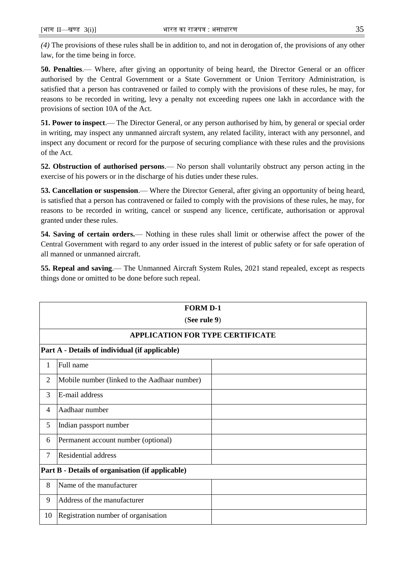*(4)* The provisions of these rules shall be in addition to, and not in derogation of, the provisions of any other law, for the time being in force.

**50. Penalties**.–– Where, after giving an opportunity of being heard, the Director General or an officer authorised by the Central Government or a State Government or Union Territory Administration, is satisfied that a person has contravened or failed to comply with the provisions of these rules, he may, for reasons to be recorded in writing, levy a penalty not exceeding rupees one lakh in accordance with the provisions of section 10A of the Act.

**51. Power to inspect**.— The Director General, or any person authorised by him, by general or special order in writing, may inspect any unmanned aircraft system, any related facility, interact with any personnel, and inspect any document or record for the purpose of securing compliance with these rules and the provisions of the Act.

**52. Obstruction of authorised persons**.— No person shall voluntarily obstruct any person acting in the exercise of his powers or in the discharge of his duties under these rules.

**53. Cancellation or suspension**.— Where the Director General, after giving an opportunity of being heard, is satisfied that a person has contravened or failed to comply with the provisions of these rules, he may, for reasons to be recorded in writing, cancel or suspend any licence, certificate, authorisation or approval granted under these rules.

**54. Saving of certain orders.**— Nothing in these rules shall limit or otherwise affect the power of the Central Government with regard to any order issued in the interest of public safety or for safe operation of all manned or unmanned aircraft.

**55. Repeal and saving**.— The Unmanned Aircraft System Rules, 2021 stand repealed, except as respects things done or omitted to be done before such repeal.

|                | <b>FORM D-1</b>                                  |  |  |  |
|----------------|--------------------------------------------------|--|--|--|
|                | (See rule 9)                                     |  |  |  |
|                | <b>APPLICATION FOR TYPE CERTIFICATE</b>          |  |  |  |
|                | Part A - Details of individual (if applicable)   |  |  |  |
| 1              | Full name                                        |  |  |  |
| $\overline{2}$ | Mobile number (linked to the Aadhaar number)     |  |  |  |
| 3              | E-mail address                                   |  |  |  |
| 4              | Aadhaar number                                   |  |  |  |
| 5              | Indian passport number                           |  |  |  |
| 6              | Permanent account number (optional)              |  |  |  |
| 7              | <b>Residential address</b>                       |  |  |  |
|                | Part B - Details of organisation (if applicable) |  |  |  |
| 8              | Name of the manufacturer                         |  |  |  |
| 9              | Address of the manufacturer                      |  |  |  |
| 10             | Registration number of organisation              |  |  |  |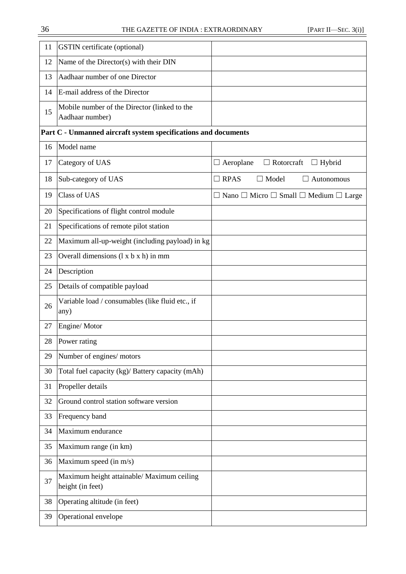| 11 | <b>GSTIN</b> certificate (optional)                             |                                                                  |
|----|-----------------------------------------------------------------|------------------------------------------------------------------|
| 12 | Name of the Director(s) with their DIN                          |                                                                  |
| 13 | Aadhaar number of one Director                                  |                                                                  |
| 14 | E-mail address of the Director                                  |                                                                  |
| 15 | Mobile number of the Director (linked to the<br>Aadhaar number) |                                                                  |
|    | Part C - Unmanned aircraft system specifications and documents  |                                                                  |
| 16 | Model name                                                      |                                                                  |
| 17 | Category of UAS                                                 | $\Box$ Aeroplane<br>$\Box$ Rotorcraft<br>$\Box$ Hybrid           |
| 18 | Sub-category of UAS                                             | $\Box$ RPAS<br>$\Box$ Model<br>$\Box$ Autonomous                 |
| 19 | <b>Class of UAS</b>                                             | $\Box$ Nano $\Box$ Micro $\Box$ Small $\Box$ Medium $\Box$ Large |
| 20 | Specifications of flight control module                         |                                                                  |
| 21 | Specifications of remote pilot station                          |                                                                  |
| 22 | Maximum all-up-weight (including payload) in kg                 |                                                                  |
| 23 | Overall dimensions (1 x b x h) in mm                            |                                                                  |
| 24 | Description                                                     |                                                                  |
| 25 | Details of compatible payload                                   |                                                                  |
| 26 | Variable load / consumables (like fluid etc., if<br>any)        |                                                                  |
| 27 | Engine/Motor                                                    |                                                                  |
| 28 | Power rating                                                    |                                                                  |
| 29 | Number of engines/ motors                                       |                                                                  |
| 30 | Total fuel capacity (kg)/ Battery capacity (mAh)                |                                                                  |
| 31 | Propeller details                                               |                                                                  |
| 32 | Ground control station software version                         |                                                                  |
| 33 | Frequency band                                                  |                                                                  |
| 34 | Maximum endurance                                               |                                                                  |
| 35 | Maximum range (in km)                                           |                                                                  |
| 36 | Maximum speed (in m/s)                                          |                                                                  |
| 37 | Maximum height attainable/ Maximum ceiling<br>height (in feet)  |                                                                  |
| 38 | Operating altitude (in feet)                                    |                                                                  |
| 39 | Operational envelope                                            |                                                                  |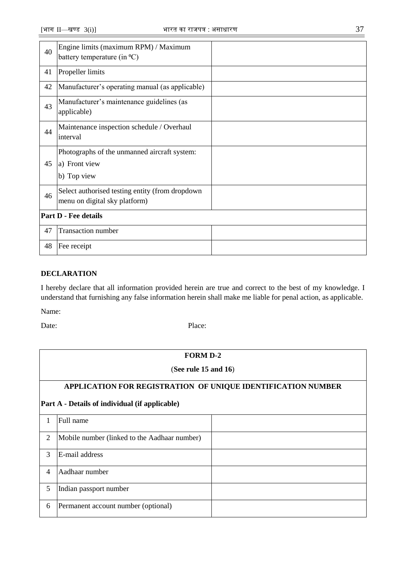| 40 | Engine limits (maximum RPM) / Maximum<br>battery temperature (in $^{\circ}C$ )   |  |
|----|----------------------------------------------------------------------------------|--|
| 41 | Propeller limits                                                                 |  |
| 42 | Manufacturer's operating manual (as applicable)                                  |  |
| 43 | Manufacturer's maintenance guidelines (as<br>applicable)                         |  |
| 44 | Maintenance inspection schedule / Overhaul<br>interval                           |  |
| 45 | Photographs of the unmanned aircraft system:<br>a) Front view<br>b) Top view     |  |
| 46 | Select authorised testing entity (from dropdown<br>menu on digital sky platform) |  |
|    | <b>Part D - Fee details</b>                                                      |  |
| 47 | <b>Transaction number</b>                                                        |  |
| 48 | Fee receipt                                                                      |  |

I hereby declare that all information provided herein are true and correct to the best of my knowledge. I understand that furnishing any false information herein shall make me liable for penal action, as applicable.

Name:

|                | <b>FORM D-2</b>                                              |  |  |  |  |
|----------------|--------------------------------------------------------------|--|--|--|--|
|                | (See rule $15$ and $16$ )                                    |  |  |  |  |
|                | APPLICATION FOR REGISTRATION OF UNIQUE IDENTIFICATION NUMBER |  |  |  |  |
|                | Part A - Details of individual (if applicable)               |  |  |  |  |
| 1              | Full name                                                    |  |  |  |  |
| $\overline{2}$ | Mobile number (linked to the Aadhaar number)                 |  |  |  |  |
| 3              | E-mail address                                               |  |  |  |  |
| 4              | Aadhaar number                                               |  |  |  |  |
| 5              | Indian passport number                                       |  |  |  |  |
| 6              | Permanent account number (optional)                          |  |  |  |  |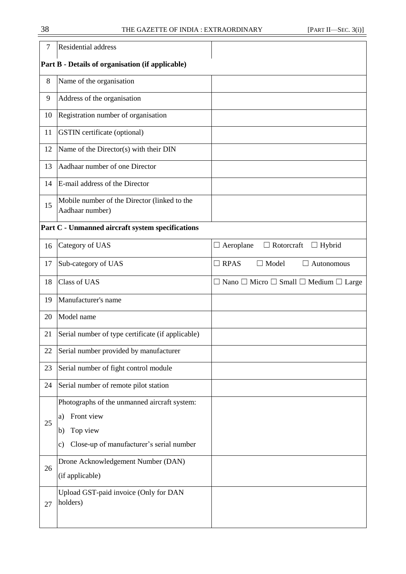| 7  | Residential address                                                                                                                  |                                                                  |
|----|--------------------------------------------------------------------------------------------------------------------------------------|------------------------------------------------------------------|
|    | Part B - Details of organisation (if applicable)                                                                                     |                                                                  |
| 8  | Name of the organisation                                                                                                             |                                                                  |
| 9  | Address of the organisation                                                                                                          |                                                                  |
| 10 | Registration number of organisation                                                                                                  |                                                                  |
| 11 | <b>GSTIN</b> certificate (optional)                                                                                                  |                                                                  |
| 12 | Name of the Director(s) with their DIN                                                                                               |                                                                  |
| 13 | Aadhaar number of one Director                                                                                                       |                                                                  |
| 14 | E-mail address of the Director                                                                                                       |                                                                  |
| 15 | Mobile number of the Director (linked to the<br>Aadhaar number)                                                                      |                                                                  |
|    | Part C - Unmanned aircraft system specifications                                                                                     |                                                                  |
| 16 | Category of UAS                                                                                                                      | $\Box$ Aeroplane<br>$\Box$ Rotorcraft $\Box$ Hybrid              |
| 17 | Sub-category of UAS                                                                                                                  | $\Box$ RPAS<br>$\Box$ Model<br>$\Box$ Autonomous                 |
| 18 | <b>Class of UAS</b>                                                                                                                  | $\Box$ Nano $\Box$ Micro $\Box$ Small $\Box$ Medium $\Box$ Large |
| 19 | Manufacturer's name                                                                                                                  |                                                                  |
| 20 | Model name                                                                                                                           |                                                                  |
| 21 | Serial number of type certificate (if applicable)                                                                                    |                                                                  |
| 22 | Serial number provided by manufacturer                                                                                               |                                                                  |
| 23 | Serial number of fight control module                                                                                                |                                                                  |
| 24 | Serial number of remote pilot station                                                                                                |                                                                  |
| 25 | Photographs of the unmanned aircraft system:<br>Front view<br>a)<br>Top view<br>b)<br>Close-up of manufacturer's serial number<br>c) |                                                                  |
| 26 | Drone Acknowledgement Number (DAN)<br>(if applicable)                                                                                |                                                                  |
| 27 | Upload GST-paid invoice (Only for DAN<br>holders)                                                                                    |                                                                  |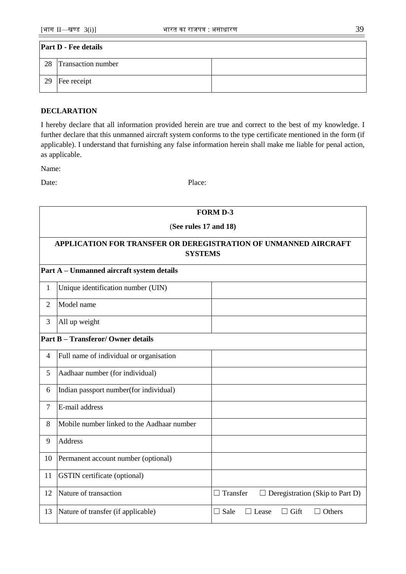| <b>Part D - Fee details</b> |                           |  |  |
|-----------------------------|---------------------------|--|--|
| 28                          | <b>Transaction number</b> |  |  |
| 29                          | Fee receipt               |  |  |

I hereby declare that all information provided herein are true and correct to the best of my knowledge. I further declare that this unmanned aircraft system conforms to the type certificate mentioned in the form (if applicable). I understand that furnishing any false information herein shall make me liable for penal action, as applicable.

Name:

r

|                | <b>FORM D-3</b>                                                                   |                                                             |  |  |  |
|----------------|-----------------------------------------------------------------------------------|-------------------------------------------------------------|--|--|--|
|                | (See rules 17 and 18)                                                             |                                                             |  |  |  |
|                | APPLICATION FOR TRANSFER OR DEREGISTRATION OF UNMANNED AIRCRAFT<br><b>SYSTEMS</b> |                                                             |  |  |  |
|                | Part A - Unmanned aircraft system details                                         |                                                             |  |  |  |
| $\mathbf{1}$   | Unique identification number (UIN)                                                |                                                             |  |  |  |
| $\overline{2}$ | Model name                                                                        |                                                             |  |  |  |
| 3              | All up weight                                                                     |                                                             |  |  |  |
|                | <b>Part B - Transferor/ Owner details</b>                                         |                                                             |  |  |  |
| $\overline{4}$ | Full name of individual or organisation                                           |                                                             |  |  |  |
| 5              | Aadhaar number (for individual)                                                   |                                                             |  |  |  |
| 6              | Indian passport number(for individual)                                            |                                                             |  |  |  |
| 7              | E-mail address                                                                    |                                                             |  |  |  |
| 8              | Mobile number linked to the Aadhaar number                                        |                                                             |  |  |  |
| 9              | Address                                                                           |                                                             |  |  |  |
| 10             | Permanent account number (optional)                                               |                                                             |  |  |  |
| 11             | <b>GSTIN</b> certificate (optional)                                               |                                                             |  |  |  |
| 12             | Nature of transaction                                                             | $\Box$ Transfer<br>$\Box$ Deregistration (Skip to Part D)   |  |  |  |
| 13             | Nature of transfer (if applicable)                                                | $\Box$ Sale<br>$\Box$ Lease<br>$\Box$ Gift<br>$\Box$ Others |  |  |  |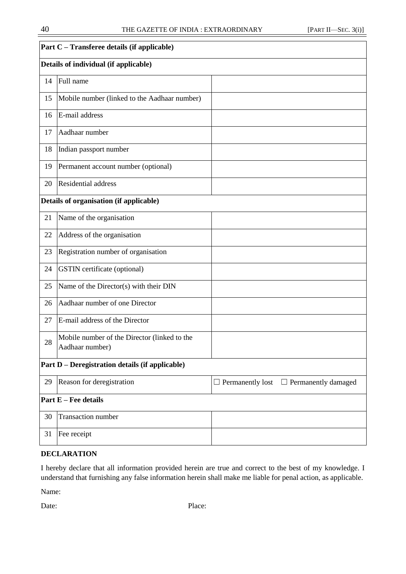|    | Part C - Transferee details (if applicable)                     |                                                    |
|----|-----------------------------------------------------------------|----------------------------------------------------|
|    | Details of individual (if applicable)                           |                                                    |
| 14 | Full name                                                       |                                                    |
| 15 | Mobile number (linked to the Aadhaar number)                    |                                                    |
| 16 | E-mail address                                                  |                                                    |
| 17 | Aadhaar number                                                  |                                                    |
| 18 | Indian passport number                                          |                                                    |
| 19 | Permanent account number (optional)                             |                                                    |
| 20 | Residential address                                             |                                                    |
|    | Details of organisation (if applicable)                         |                                                    |
| 21 | Name of the organisation                                        |                                                    |
| 22 | Address of the organisation                                     |                                                    |
| 23 | Registration number of organisation                             |                                                    |
| 24 | <b>GSTIN</b> certificate (optional)                             |                                                    |
| 25 | Name of the Director(s) with their DIN                          |                                                    |
| 26 | Aadhaar number of one Director                                  |                                                    |
| 27 | E-mail address of the Director                                  |                                                    |
| 28 | Mobile number of the Director (linked to the<br>Aadhaar number) |                                                    |
|    | Part D - Deregistration details (if applicable)                 |                                                    |
| 29 | Reason for deregistration                                       | $\Box$ Permanently lost $\Box$ Permanently damaged |
|    | <b>Part E</b> – Fee details                                     |                                                    |
| 30 | <b>Transaction</b> number                                       |                                                    |
| 31 | Fee receipt                                                     |                                                    |
|    |                                                                 |                                                    |

I hereby declare that all information provided herein are true and correct to the best of my knowledge. I understand that furnishing any false information herein shall make me liable for penal action, as applicable.

Name: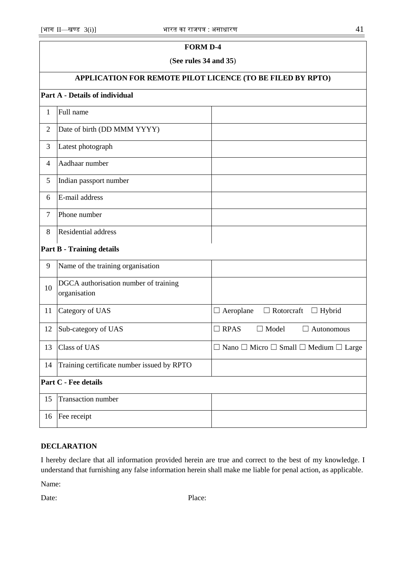## **FORM D-4**

#### (**See rules 34 and 35**)

# **APPLICATION FOR REMOTE PILOT LICENCE (TO BE FILED BY RPTO)**

# **Part A - Details of individual**

| $\mathbf{1}$   | Full name                                             |                                                                  |
|----------------|-------------------------------------------------------|------------------------------------------------------------------|
| $\overline{2}$ | Date of birth (DD MMM YYYY)                           |                                                                  |
| 3              | Latest photograph                                     |                                                                  |
| $\overline{4}$ | Aadhaar number                                        |                                                                  |
| 5              | Indian passport number                                |                                                                  |
| 6              | E-mail address                                        |                                                                  |
| $\overline{7}$ | Phone number                                          |                                                                  |
| 8              | Residential address                                   |                                                                  |
|                | <b>Part B - Training details</b>                      |                                                                  |
| 9              | Name of the training organisation                     |                                                                  |
| 10             | DGCA authorisation number of training<br>organisation |                                                                  |
| 11             | Category of UAS                                       | $\Box$ Aeroplane<br>$\Box$ Rotorcraft<br>$\Box$ Hybrid           |
| 12             | Sub-category of UAS                                   | $\Box$ RPAS<br>$\Box$ Model<br>$\Box$ Autonomous                 |
| 13             | <b>Class of UAS</b>                                   | $\Box$ Nano $\Box$ Micro $\Box$ Small $\Box$ Medium $\Box$ Large |
| 14             | Training certificate number issued by RPTO            |                                                                  |
|                | <b>Part C - Fee details</b>                           |                                                                  |
| 15             | <b>Transaction</b> number                             |                                                                  |
| 16             | Fee receipt                                           |                                                                  |

# **DECLARATION**

I hereby declare that all information provided herein are true and correct to the best of my knowledge. I understand that furnishing any false information herein shall make me liable for penal action, as applicable.

Name: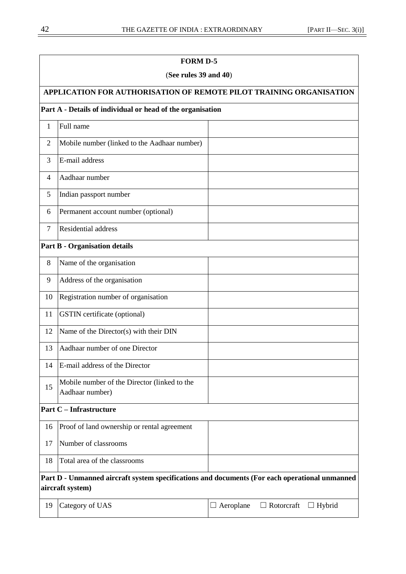**FORM D-5**

# (**See rules 39 and 40**) **APPLICATION FOR AUTHORISATION OF REMOTE PILOT TRAINING ORGANISATION Part A - Details of individual or head of the organisation** 1 Full name 2 Mobile number (linked to the Aadhaar number) 3 E-mail address 4 Aadhaar number 5 Indian passport number 6 Permanent account number (optional) 7 Residential address **Part B - Organisation details**  8 Name of the organisation 9 Address of the organisation 10 Registration number of organisation 11 GSTIN certificate (optional) 12 Name of the Director(s) with their DIN 13 Aadhaar number of one Director 14 E-mail address of the Director 15 Mobile number of the Director (linked to the Aadhaar number) **Part C – Infrastructure** 16 Proof of land ownership or rental agreement 17 Number of classrooms 18 Total area of the classrooms **Part D - Unmanned aircraft system specifications and documents (For each operational unmanned aircraft system)**

| 19 Category of UAS | $\Box$ Aeroplane $\Box$ Rotorcraft $\Box$ Hybrid |  |
|--------------------|--------------------------------------------------|--|
|                    |                                                  |  |